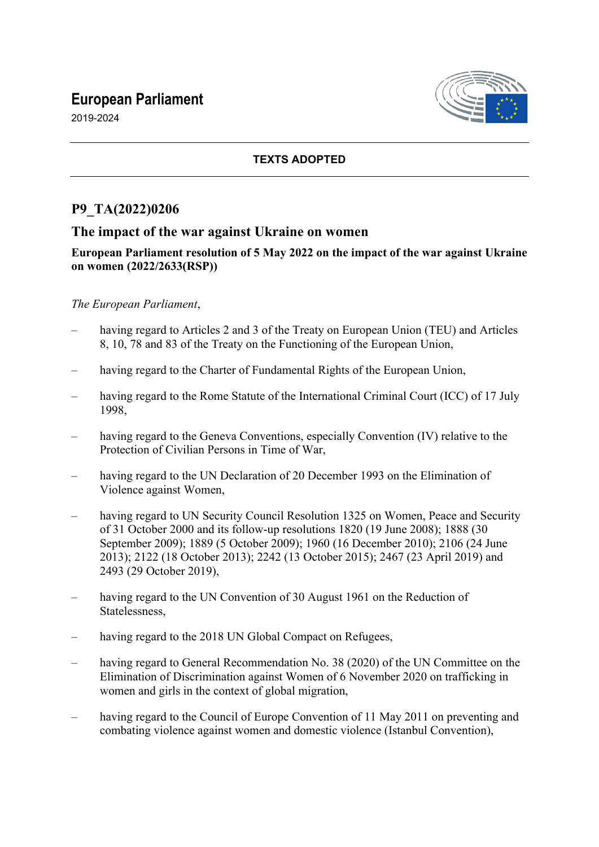# **European Parliament**





## **TEXTS ADOPTED**

## **P9\_TA(2022)0206**

## **The impact of the war against Ukraine on women**

#### **European Parliament resolution of 5 May 2022 on the impact of the war against Ukraine on women (2022/2633(RSP))**

#### *The European Parliament*,

- having regard to Articles 2 and 3 of the Treaty on European Union (TEU) and Articles 8, 10, 78 and 83 of the Treaty on the Functioning of the European Union,
- having regard to the Charter of Fundamental Rights of the European Union,
- having regard to the Rome Statute of the International Criminal Court (ICC) of 17 July 1998,
- having regard to the Geneva Conventions, especially Convention (IV) relative to the Protection of Civilian Persons in Time of War,
- having regard to the UN Declaration of 20 December 1993 on the Elimination of Violence against Women,
- having regard to UN Security Council Resolution 1325 on Women, Peace and Security of 31 October 2000 and its follow-up resolutions 1820 (19 June 2008); 1888 (30 September 2009); 1889 (5 October 2009); 1960 (16 December 2010); 2106 (24 June 2013); 2122 (18 October 2013); 2242 (13 October 2015); 2467 (23 April 2019) and 2493 (29 October 2019),
- having regard to the UN Convention of 30 August 1961 on the Reduction of Statelessness,
- having regard to the 2018 UN Global Compact on Refugees,
- having regard to General Recommendation No. 38 (2020) of the UN Committee on the Elimination of Discrimination against Women of 6 November 2020 on trafficking in women and girls in the context of global migration,
- having regard to the Council of Europe Convention of 11 May 2011 on preventing and combating violence against women and domestic violence (Istanbul Convention),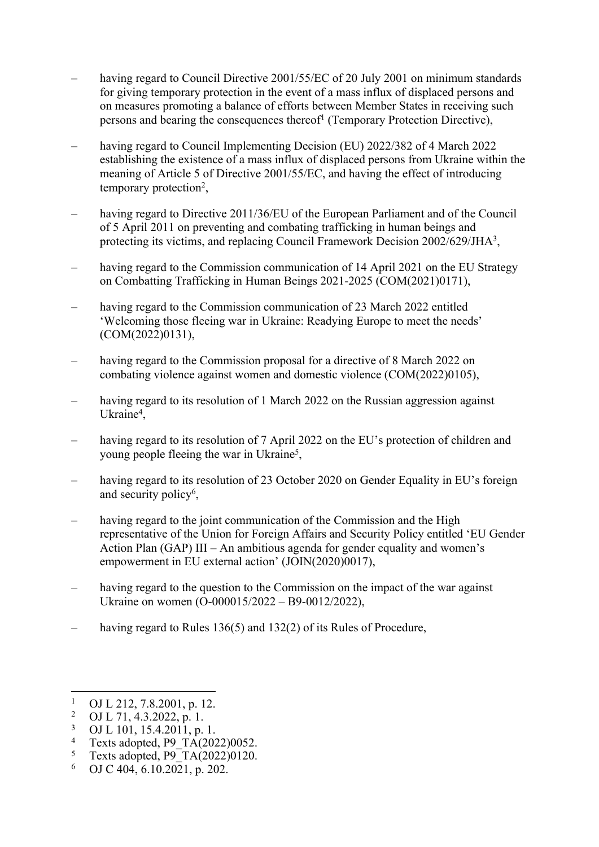- having regard to Council Directive 2001/55/EC of 20 July 2001 on minimum standards for giving temporary protection in the event of a mass influx of displaced persons and on measures promoting a balance of efforts between Member States in receiving such persons and bearing the consequences thereof<sup>1</sup> (Temporary Protection Directive),
- having regard to Council Implementing Decision (EU) 2022/382 of 4 March 2022 establishing the existence of a mass influx of displaced persons from Ukraine within the meaning of Article 5 of Directive 2001/55/EC, and having the effect of introducing temporary protection<sup>2</sup>,
- having regard to Directive 2011/36/EU of the European Parliament and of the Council of 5 April 2011 on preventing and combating trafficking in human beings and protecting its victims, and replacing Council Framework Decision 2002/629/JHA<sup>3</sup>,
- having regard to the Commission communication of 14 April 2021 on the EU Strategy on Combatting Trafficking in Human Beings 2021-2025 (COM(2021)0171),
- having regard to the Commission communication of 23 March 2022 entitled 'Welcoming those fleeing war in Ukraine: Readying Europe to meet the needs' (COM(2022)0131),
- having regard to the Commission proposal for a directive of 8 March 2022 on combating violence against women and domestic violence (COM(2022)0105),
- having regard to its resolution of 1 March 2022 on the Russian aggression against Ukraine<sup>4</sup>,
- having regard to its resolution of 7 April 2022 on the EU's protection of children and young people fleeing the war in Ukraine<sup>5</sup>,
- having regard to its resolution of 23 October 2020 on Gender Equality in EU's foreign and security policy<sup>6</sup>,
- having regard to the joint communication of the Commission and the High representative of the Union for Foreign Affairs and Security Policy entitled 'EU Gender Action Plan (GAP) III – An ambitious agenda for gender equality and women's empowerment in EU external action' (JOIN(2020)0017),
- having regard to the question to the Commission on the impact of the war against Ukraine on women (O-000015/2022 – B9-0012/2022),
- having regard to Rules 136(5) and 132(2) of its Rules of Procedure,

- 2 OJ L 71, 4.3.2022, p. 1.
- 3 OJ L 101, 15.4.2011, p. 1.
- 4 Texts adopted, P9\_TA(2022)0052.
- 5 Texts adopted,  $P9T\overline{A(2022)}0120$ .
- 6 OJ C 404, 6.10.2021, p. 202.

<sup>1</sup> OJ L 212, 7.8.2001, p. 12.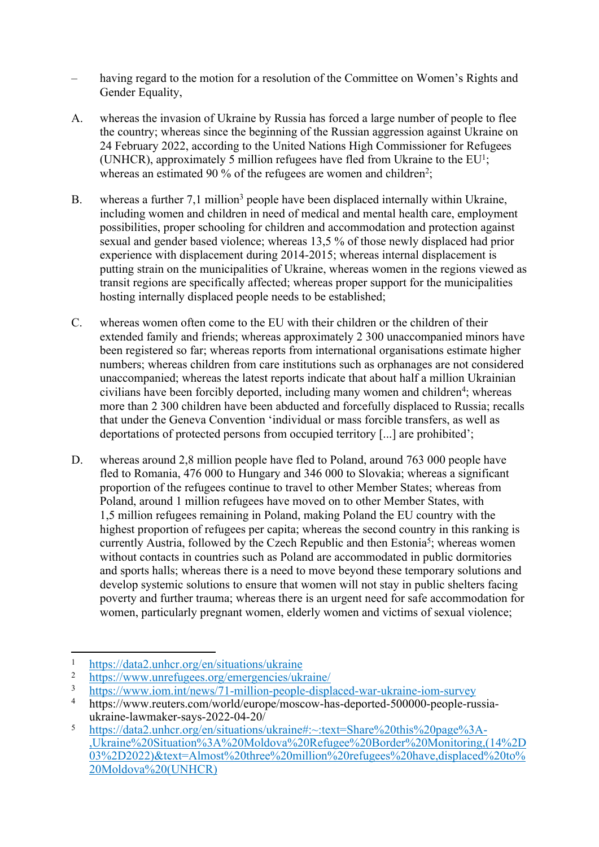- having regard to the motion for a resolution of the Committee on Women's Rights and Gender Equality,
- A. whereas the invasion of Ukraine by Russia has forced a large number of people to flee the country; whereas since the beginning of the Russian aggression against Ukraine on 24 February 2022, according to the United Nations High Commissioner for Refugees (UNHCR), approximately 5 million refugees have fled from Ukraine to the  $EU^1$ ; whereas an estimated 90 % of the refugees are women and children<sup>2</sup>;
- B. whereas a further 7,1 million<sup>3</sup> people have been displaced internally within Ukraine, including women and children in need of medical and mental health care, employment possibilities, proper schooling for children and accommodation and protection against sexual and gender based violence; whereas 13,5 % of those newly displaced had prior experience with displacement during 2014-2015; whereas internal displacement is putting strain on the municipalities of Ukraine, whereas women in the regions viewed as transit regions are specifically affected; whereas proper support for the municipalities hosting internally displaced people needs to be established;
- C. whereas women often come to the EU with their children or the children of their extended family and friends; whereas approximately 2 300 unaccompanied minors have been registered so far; whereas reports from international organisations estimate higher numbers; whereas children from care institutions such as orphanages are not considered unaccompanied; whereas the latest reports indicate that about half a million Ukrainian civilians have been forcibly deported, including many women and children<sup>4</sup>; whereas more than 2 300 children have been abducted and forcefully displaced to Russia; recalls that under the Geneva Convention 'individual or mass forcible transfers, as well as deportations of protected persons from occupied territory [...] are prohibited';
- D. whereas around 2,8 million people have fled to Poland, around 763 000 people have fled to Romania, 476 000 to Hungary and 346 000 to Slovakia; whereas a significant proportion of the refugees continue to travel to other Member States; whereas from Poland, around 1 million refugees have moved on to other Member States, with 1,5 million refugees remaining in Poland, making Poland the EU country with the highest proportion of refugees per capita; whereas the second country in this ranking is currently Austria, followed by the Czech Republic and then Estonia<sup>5</sup>; whereas women without contacts in countries such as Poland are accommodated in public dormitories and sports halls; whereas there is a need to move beyond these temporary solutions and develop systemic solutions to ensure that women will not stay in public shelters facing poverty and further trauma; whereas there is an urgent need for safe accommodation for women, particularly pregnant women, elderly women and victims of sexual violence;

 $\frac{1}{2}$  https://data2.unhcr.org/en/situations/ukraine

 $\frac{2}{3}$  https://www.unrefugees.org/emergencies/ukraine/<br>https://www.jom.int/news/71-million-people-displ

<sup>3</sup> <https://www.iom.int/news/71-million-people-displaced-war-ukraine-iom-survey>

<sup>4</sup> https://www.reuters.com/world/europe/moscow-has-deported-500000-people-russiaukraine-lawmaker-says-2022-04-20/

<sup>5</sup> [https://data2.unhcr.org/en/situations/ukraine#:~:text=Share%20this%20page%3A-](https://data2.unhcr.org/en/situations/ukraine#:~:text=Share%20this%20page%3A-,Ukraine%20Situation%3A%20Moldova%20Refugee%20Border%20Monitoring,(14%2D03%2D2022)&text=Almost%20three%20million%20refugees%20have,displaced%20to%20Moldova%20(UNHCR)) [,Ukraine%20Situation%3A%20Moldova%20Refugee%20Border%20Monitoring,\(14%2D](https://data2.unhcr.org/en/situations/ukraine#:~:text=Share%20this%20page%3A-,Ukraine%20Situation%3A%20Moldova%20Refugee%20Border%20Monitoring,(14%2D03%2D2022)&text=Almost%20three%20million%20refugees%20have,displaced%20to%20Moldova%20(UNHCR)) [03%2D2022\)&text=Almost%20three%20million%20refugees%20have,displaced%20to%](https://data2.unhcr.org/en/situations/ukraine#:~:text=Share%20this%20page%3A-,Ukraine%20Situation%3A%20Moldova%20Refugee%20Border%20Monitoring,(14%2D03%2D2022)&text=Almost%20three%20million%20refugees%20have,displaced%20to%20Moldova%20(UNHCR)) [20Moldova%20\(UNHCR\)](https://data2.unhcr.org/en/situations/ukraine#:~:text=Share%20this%20page%3A-,Ukraine%20Situation%3A%20Moldova%20Refugee%20Border%20Monitoring,(14%2D03%2D2022)&text=Almost%20three%20million%20refugees%20have,displaced%20to%20Moldova%20(UNHCR))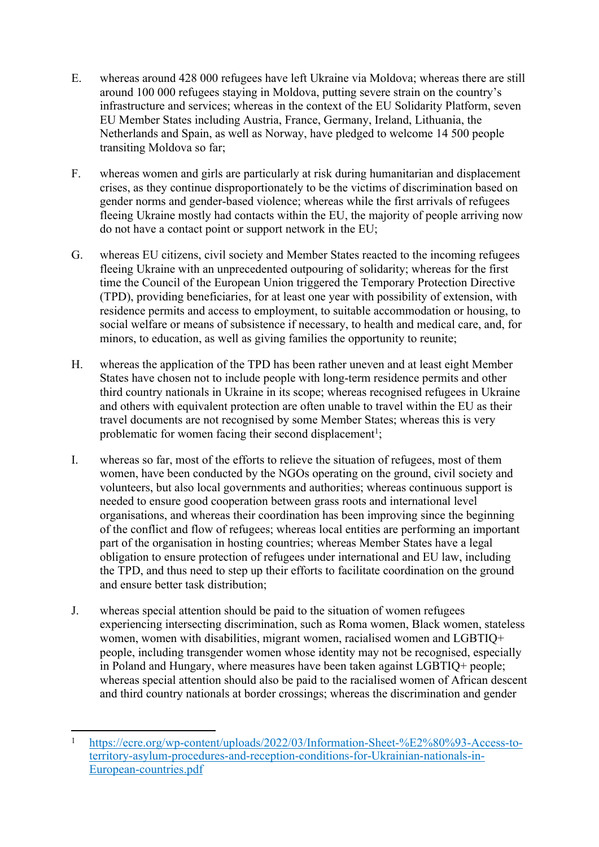- E. whereas around 428 000 refugees have left Ukraine via Moldova; whereas there are still around 100 000 refugees staying in Moldova, putting severe strain on the country's infrastructure and services; whereas in the context of the EU Solidarity Platform, seven EU Member States including Austria, France, Germany, Ireland, Lithuania, the Netherlands and Spain, as well as Norway, have pledged to welcome 14 500 people transiting Moldova so far;
- F. whereas women and girls are particularly at risk during humanitarian and displacement crises, as they continue disproportionately to be the victims of discrimination based on gender norms and gender-based violence; whereas while the first arrivals of refugees fleeing Ukraine mostly had contacts within the EU, the majority of people arriving now do not have a contact point or support network in the EU;
- G. whereas EU citizens, civil society and Member States reacted to the incoming refugees fleeing Ukraine with an unprecedented outpouring of solidarity; whereas for the first time the Council of the European Union triggered the Temporary Protection Directive (TPD), providing beneficiaries, for at least one year with possibility of extension, with residence permits and access to employment, to suitable accommodation or housing, to social welfare or means of subsistence if necessary, to health and medical care, and, for minors, to education, as well as giving families the opportunity to reunite;
- H. whereas the application of the TPD has been rather uneven and at least eight Member States have chosen not to include people with long-term residence permits and other third country nationals in Ukraine in its scope; whereas recognised refugees in Ukraine and others with equivalent protection are often unable to travel within the EU as their travel documents are not recognised by some Member States; whereas this is very problematic for women facing their second displacement<sup>1</sup>;
- I. whereas so far, most of the efforts to relieve the situation of refugees, most of them women, have been conducted by the NGOs operating on the ground, civil society and volunteers, but also local governments and authorities; whereas continuous support is needed to ensure good cooperation between grass roots and international level organisations, and whereas their coordination has been improving since the beginning of the conflict and flow of refugees; whereas local entities are performing an important part of the organisation in hosting countries; whereas Member States have a legal obligation to ensure protection of refugees under international and EU law, including the TPD, and thus need to step up their efforts to facilitate coordination on the ground and ensure better task distribution;
- J. whereas special attention should be paid to the situation of women refugees experiencing intersecting discrimination, such as Roma women, Black women, stateless women, women with disabilities, migrant women, racialised women and LGBTIQ+ people, including transgender women whose identity may not be recognised, especially in Poland and Hungary, where measures have been taken against LGBTIQ+ people; whereas special attention should also be paid to the racialised women of African descent and third country nationals at border crossings; whereas the discrimination and gender

<sup>1</sup> [https://ecre.org/wp-content/uploads/2022/03/Information-Sheet-%E2%80%93-Access-to](https://ecre.org/wp-content/uploads/2022/03/Information-Sheet-%E2%80%93-Access-to-territory-asylum-procedures-and-reception-conditions-for-Ukrainian-nationals-in-European-countries.pdf)[territory-asylum-procedures-and-reception-conditions-for-Ukrainian-nationals-in-](https://ecre.org/wp-content/uploads/2022/03/Information-Sheet-%E2%80%93-Access-to-territory-asylum-procedures-and-reception-conditions-for-Ukrainian-nationals-in-European-countries.pdf)[European-countries.pdf](https://ecre.org/wp-content/uploads/2022/03/Information-Sheet-%E2%80%93-Access-to-territory-asylum-procedures-and-reception-conditions-for-Ukrainian-nationals-in-European-countries.pdf)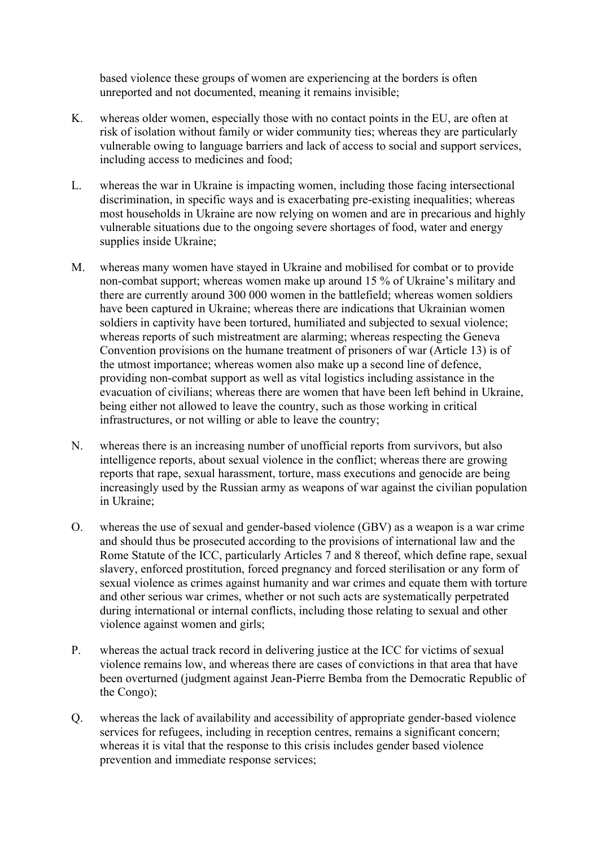based violence these groups of women are experiencing at the borders is often unreported and not documented, meaning it remains invisible;

- K. whereas older women, especially those with no contact points in the EU, are often at risk of isolation without family or wider community ties; whereas they are particularly vulnerable owing to language barriers and lack of access to social and support services, including access to medicines and food;
- L. whereas the war in Ukraine is impacting women, including those facing intersectional discrimination, in specific ways and is exacerbating pre-existing inequalities; whereas most households in Ukraine are now relying on women and are in precarious and highly vulnerable situations due to the ongoing severe shortages of food, water and energy supplies inside Ukraine;
- M. whereas many women have stayed in Ukraine and mobilised for combat or to provide non-combat support; whereas women make up around 15 % of Ukraine's military and there are currently around 300 000 women in the battlefield; whereas women soldiers have been captured in Ukraine; whereas there are indications that Ukrainian women soldiers in captivity have been tortured, humiliated and subjected to sexual violence; whereas reports of such mistreatment are alarming; whereas respecting the Geneva Convention provisions on the humane treatment of prisoners of war (Article 13) is of the utmost importance; whereas women also make up a second line of defence, providing non-combat support as well as vital logistics including assistance in the evacuation of civilians; whereas there are women that have been left behind in Ukraine, being either not allowed to leave the country, such as those working in critical infrastructures, or not willing or able to leave the country;
- N. whereas there is an increasing number of unofficial reports from survivors, but also intelligence reports, about sexual violence in the conflict; whereas there are growing reports that rape, sexual harassment, torture, mass executions and genocide are being increasingly used by the Russian army as weapons of war against the civilian population in Ukraine;
- O. whereas the use of sexual and gender-based violence (GBV) as a weapon is a war crime and should thus be prosecuted according to the provisions of international law and the Rome Statute of the ICC, particularly Articles 7 and 8 thereof, which define rape, sexual slavery, enforced prostitution, forced pregnancy and forced sterilisation or any form of sexual violence as crimes against humanity and war crimes and equate them with torture and other serious war crimes, whether or not such acts are systematically perpetrated during international or internal conflicts, including those relating to sexual and other violence against women and girls;
- P. whereas the actual track record in delivering justice at the ICC for victims of sexual violence remains low, and whereas there are cases of convictions in that area that have been overturned (judgment against Jean-Pierre Bemba from the Democratic Republic of the Congo);
- Q. whereas the lack of availability and accessibility of appropriate gender-based violence services for refugees, including in reception centres, remains a significant concern; whereas it is vital that the response to this crisis includes gender based violence prevention and immediate response services;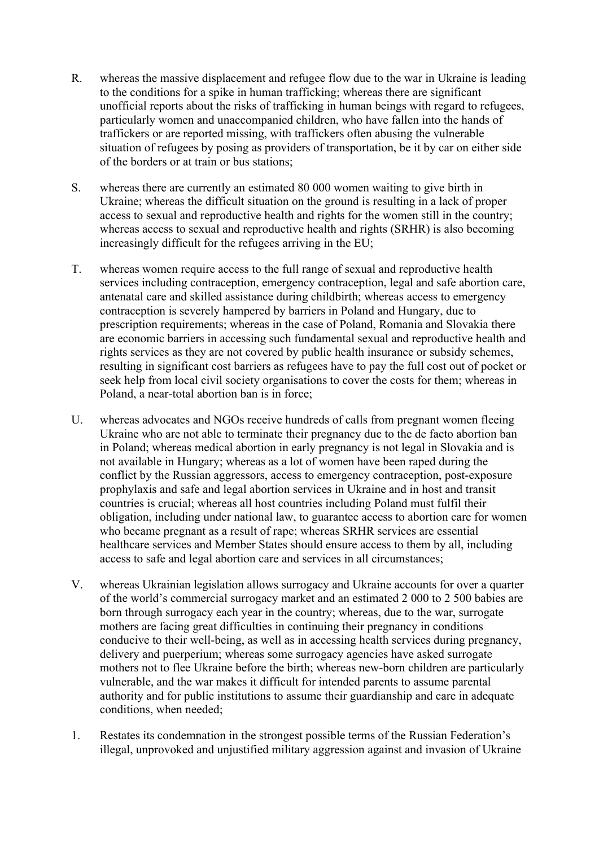- R. whereas the massive displacement and refugee flow due to the war in Ukraine is leading to the conditions for a spike in human trafficking; whereas there are significant unofficial reports about the risks of trafficking in human beings with regard to refugees, particularly women and unaccompanied children, who have fallen into the hands of traffickers or are reported missing, with traffickers often abusing the vulnerable situation of refugees by posing as providers of transportation, be it by car on either side of the borders or at train or bus stations;
- S. whereas there are currently an estimated 80 000 women waiting to give birth in Ukraine; whereas the difficult situation on the ground is resulting in a lack of proper access to sexual and reproductive health and rights for the women still in the country; whereas access to sexual and reproductive health and rights (SRHR) is also becoming increasingly difficult for the refugees arriving in the EU;
- T. whereas women require access to the full range of sexual and reproductive health services including contraception, emergency contraception, legal and safe abortion care, antenatal care and skilled assistance during childbirth; whereas access to emergency contraception is severely hampered by barriers in Poland and Hungary, due to prescription requirements; whereas in the case of Poland, Romania and Slovakia there are economic barriers in accessing such fundamental sexual and reproductive health and rights services as they are not covered by public health insurance or subsidy schemes, resulting in significant cost barriers as refugees have to pay the full cost out of pocket or seek help from local civil society organisations to cover the costs for them; whereas in Poland, a near-total abortion ban is in force;
- U. whereas advocates and NGOs receive hundreds of calls from pregnant women fleeing Ukraine who are not able to terminate their pregnancy due to the de facto abortion ban in Poland; whereas medical abortion in early pregnancy is not legal in Slovakia and is not available in Hungary; whereas as a lot of women have been raped during the conflict by the Russian aggressors, access to emergency contraception, post-exposure prophylaxis and safe and legal abortion services in Ukraine and in host and transit countries is crucial; whereas all host countries including Poland must fulfil their obligation, including under national law, to guarantee access to abortion care for women who became pregnant as a result of rape; whereas SRHR services are essential healthcare services and Member States should ensure access to them by all, including access to safe and legal abortion care and services in all circumstances;
- V. whereas Ukrainian legislation allows surrogacy and Ukraine accounts for over a quarter of the world's commercial surrogacy market and an estimated 2 000 to 2 500 babies are born through surrogacy each year in the country; whereas, due to the war, surrogate mothers are facing great difficulties in continuing their pregnancy in conditions conducive to their well-being, as well as in accessing health services during pregnancy, delivery and puerperium; whereas some surrogacy agencies have asked surrogate mothers not to flee Ukraine before the birth; whereas new-born children are particularly vulnerable, and the war makes it difficult for intended parents to assume parental authority and for public institutions to assume their guardianship and care in adequate conditions, when needed;
- 1. Restates its condemnation in the strongest possible terms of the Russian Federation's illegal, unprovoked and unjustified military aggression against and invasion of Ukraine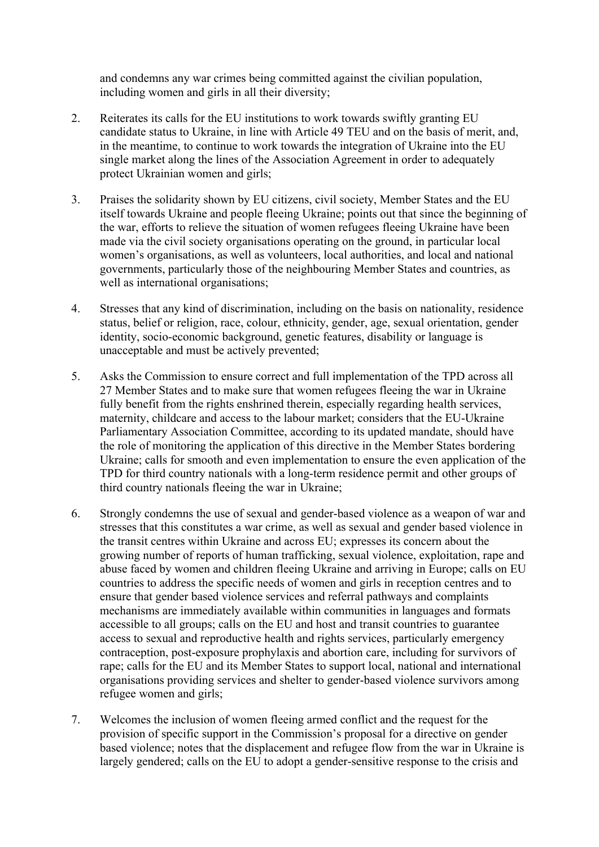and condemns any war crimes being committed against the civilian population, including women and girls in all their diversity;

- 2. Reiterates its calls for the EU institutions to work towards swiftly granting EU candidate status to Ukraine, in line with Article 49 TEU and on the basis of merit, and, in the meantime, to continue to work towards the integration of Ukraine into the EU single market along the lines of the Association Agreement in order to adequately protect Ukrainian women and girls;
- 3. Praises the solidarity shown by EU citizens, civil society, Member States and the EU itself towards Ukraine and people fleeing Ukraine; points out that since the beginning of the war, efforts to relieve the situation of women refugees fleeing Ukraine have been made via the civil society organisations operating on the ground, in particular local women's organisations, as well as volunteers, local authorities, and local and national governments, particularly those of the neighbouring Member States and countries, as well as international organisations:
- 4. Stresses that any kind of discrimination, including on the basis on nationality, residence status, belief or religion, race, colour, ethnicity, gender, age, sexual orientation, gender identity, socio-economic background, genetic features, disability or language is unacceptable and must be actively prevented;
- 5. Asks the Commission to ensure correct and full implementation of the TPD across all 27 Member States and to make sure that women refugees fleeing the war in Ukraine fully benefit from the rights enshrined therein, especially regarding health services, maternity, childcare and access to the labour market; considers that the EU-Ukraine Parliamentary Association Committee, according to its updated mandate, should have the role of monitoring the application of this directive in the Member States bordering Ukraine; calls for smooth and even implementation to ensure the even application of the TPD for third country nationals with a long-term residence permit and other groups of third country nationals fleeing the war in Ukraine;
- 6. Strongly condemns the use of sexual and gender-based violence as a weapon of war and stresses that this constitutes a war crime, as well as sexual and gender based violence in the transit centres within Ukraine and across EU; expresses its concern about the growing number of reports of human trafficking, sexual violence, exploitation, rape and abuse faced by women and children fleeing Ukraine and arriving in Europe; calls on EU countries to address the specific needs of women and girls in reception centres and to ensure that gender based violence services and referral pathways and complaints mechanisms are immediately available within communities in languages and formats accessible to all groups; calls on the EU and host and transit countries to guarantee access to sexual and reproductive health and rights services, particularly emergency contraception, post-exposure prophylaxis and abortion care, including for survivors of rape; calls for the EU and its Member States to support local, national and international organisations providing services and shelter to gender-based violence survivors among refugee women and girls;
- 7. Welcomes the inclusion of women fleeing armed conflict and the request for the provision of specific support in the Commission's proposal for a directive on gender based violence; notes that the displacement and refugee flow from the war in Ukraine is largely gendered; calls on the EU to adopt a gender-sensitive response to the crisis and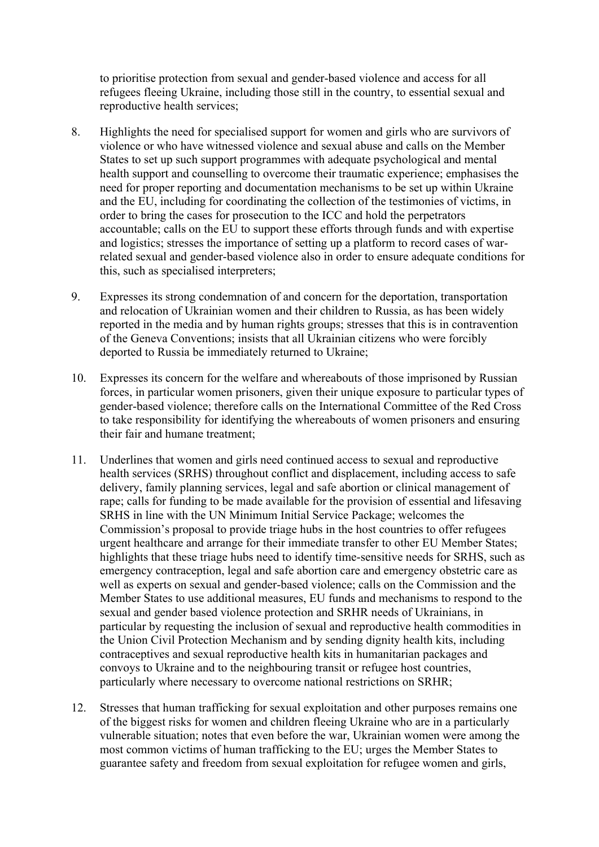to prioritise protection from sexual and gender-based violence and access for all refugees fleeing Ukraine, including those still in the country, to essential sexual and reproductive health services;

- 8. Highlights the need for specialised support for women and girls who are survivors of violence or who have witnessed violence and sexual abuse and calls on the Member States to set up such support programmes with adequate psychological and mental health support and counselling to overcome their traumatic experience; emphasises the need for proper reporting and documentation mechanisms to be set up within Ukraine and the EU, including for coordinating the collection of the testimonies of victims, in order to bring the cases for prosecution to the ICC and hold the perpetrators accountable; calls on the EU to support these efforts through funds and with expertise and logistics; stresses the importance of setting up a platform to record cases of warrelated sexual and gender-based violence also in order to ensure adequate conditions for this, such as specialised interpreters;
- 9. Expresses its strong condemnation of and concern for the deportation, transportation and relocation of Ukrainian women and their children to Russia, as has been widely reported in the media and by human rights groups; stresses that this is in contravention of the Geneva Conventions; insists that all Ukrainian citizens who were forcibly deported to Russia be immediately returned to Ukraine;
- 10. Expresses its concern for the welfare and whereabouts of those imprisoned by Russian forces, in particular women prisoners, given their unique exposure to particular types of gender-based violence; therefore calls on the International Committee of the Red Cross to take responsibility for identifying the whereabouts of women prisoners and ensuring their fair and humane treatment;
- 11. Underlines that women and girls need continued access to sexual and reproductive health services (SRHS) throughout conflict and displacement, including access to safe delivery, family planning services, legal and safe abortion or clinical management of rape; calls for funding to be made available for the provision of essential and lifesaving SRHS in line with the UN Minimum Initial Service Package; welcomes the Commission's proposal to provide triage hubs in the host countries to offer refugees urgent healthcare and arrange for their immediate transfer to other EU Member States; highlights that these triage hubs need to identify time-sensitive needs for SRHS, such as emergency contraception, legal and safe abortion care and emergency obstetric care as well as experts on sexual and gender-based violence; calls on the Commission and the Member States to use additional measures, EU funds and mechanisms to respond to the sexual and gender based violence protection and SRHR needs of Ukrainians, in particular by requesting the inclusion of sexual and reproductive health commodities in the Union Civil Protection Mechanism and by sending dignity health kits, including contraceptives and sexual reproductive health kits in humanitarian packages and convoys to Ukraine and to the neighbouring transit or refugee host countries, particularly where necessary to overcome national restrictions on SRHR;
- 12. Stresses that human trafficking for sexual exploitation and other purposes remains one of the biggest risks for women and children fleeing Ukraine who are in a particularly vulnerable situation; notes that even before the war, Ukrainian women were among the most common victims of human trafficking to the EU; urges the Member States to guarantee safety and freedom from sexual exploitation for refugee women and girls,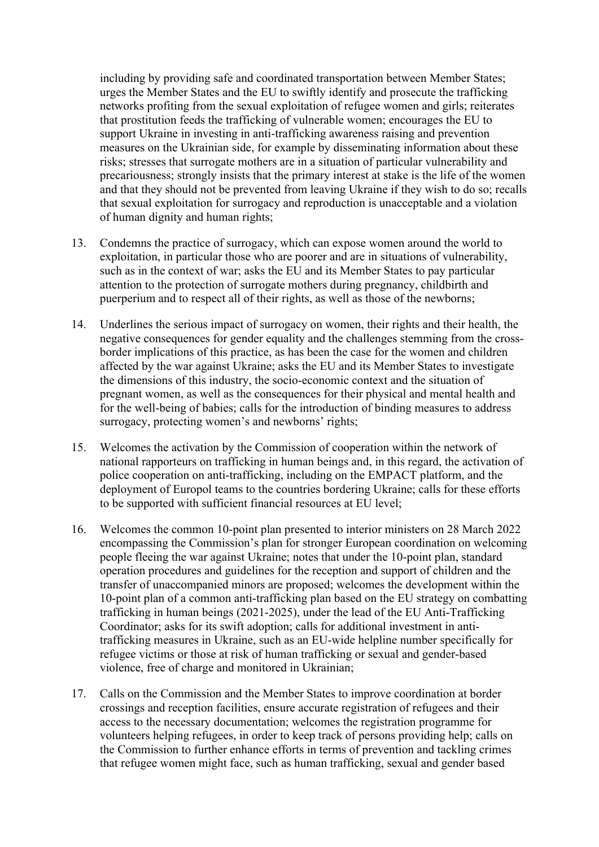including by providing safe and coordinated transportation between Member States; urges the Member States and the EU to swiftly identify and prosecute the trafficking networks profiting from the sexual exploitation of refugee women and girls; reiterates that prostitution feeds the trafficking of vulnerable women; encourages the EU to support Ukraine in investing in anti-trafficking awareness raising and prevention measures on the Ukrainian side, for example by disseminating information about these risks; stresses that surrogate mothers are in a situation of particular vulnerability and precariousness; strongly insists that the primary interest at stake is the life of the women and that they should not be prevented from leaving Ukraine if they wish to do so; recalls that sexual exploitation for surrogacy and reproduction is unacceptable and a violation of human dignity and human rights;

- 13. Condemns the practice of surrogacy, which can expose women around the world to exploitation, in particular those who are poorer and are in situations of vulnerability, such as in the context of war; asks the EU and its Member States to pay particular attention to the protection of surrogate mothers during pregnancy, childbirth and puerperium and to respect all of their rights, as well as those of the newborns;
- 14. Underlines the serious impact of surrogacy on women, their rights and their health, the negative consequences for gender equality and the challenges stemming from the crossborder implications of this practice, as has been the case for the women and children affected by the war against Ukraine; asks the EU and its Member States to investigate the dimensions of this industry, the socio-economic context and the situation of pregnant women, as well as the consequences for their physical and mental health and for the well-being of babies; calls for the introduction of binding measures to address surrogacy, protecting women's and newborns' rights;
- 15. Welcomes the activation by the Commission of cooperation within the network of national rapporteurs on trafficking in human beings and, in this regard, the activation of police cooperation on anti-trafficking, including on the EMPACT platform, and the deployment of Europol teams to the countries bordering Ukraine; calls for these efforts to be supported with sufficient financial resources at EU level;
- 16. Welcomes the common 10-point plan presented to interior ministers on 28 March 2022 encompassing the Commission's plan for stronger European coordination on welcoming people fleeing the war against Ukraine; notes that under the 10-point plan, standard operation procedures and guidelines for the reception and support of children and the transfer of unaccompanied minors are proposed; welcomes the development within the 10-point plan of a common anti-trafficking plan based on the EU strategy on combatting trafficking in human beings (2021-2025), under the lead of the EU Anti-Trafficking Coordinator; asks for its swift adoption; calls for additional investment in antitrafficking measures in Ukraine, such as an EU-wide helpline number specifically for refugee victims or those at risk of human trafficking or sexual and gender-based violence, free of charge and monitored in Ukrainian;
- 17. Calls on the Commission and the Member States to improve coordination at border crossings and reception facilities, ensure accurate registration of refugees and their access to the necessary documentation; welcomes the registration programme for volunteers helping refugees, in order to keep track of persons providing help; calls on the Commission to further enhance efforts in terms of prevention and tackling crimes that refugee women might face, such as human trafficking, sexual and gender based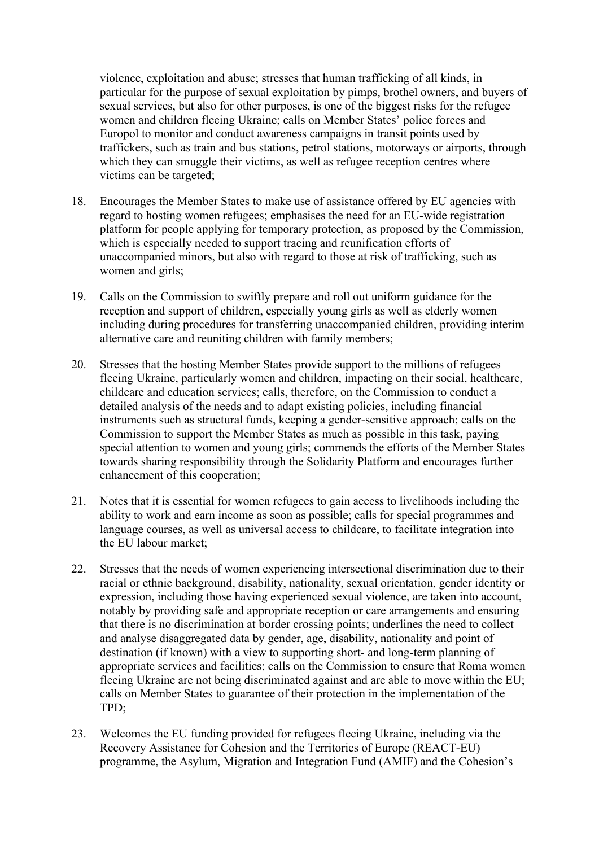violence, exploitation and abuse; stresses that human trafficking of all kinds, in particular for the purpose of sexual exploitation by pimps, brothel owners, and buyers of sexual services, but also for other purposes, is one of the biggest risks for the refugee women and children fleeing Ukraine; calls on Member States' police forces and Europol to monitor and conduct awareness campaigns in transit points used by traffickers, such as train and bus stations, petrol stations, motorways or airports, through which they can smuggle their victims, as well as refugee reception centres where victims can be targeted;

- 18. Encourages the Member States to make use of assistance offered by EU agencies with regard to hosting women refugees; emphasises the need for an EU-wide registration platform for people applying for temporary protection, as proposed by the Commission, which is especially needed to support tracing and reunification efforts of unaccompanied minors, but also with regard to those at risk of trafficking, such as women and girls;
- 19. Calls on the Commission to swiftly prepare and roll out uniform guidance for the reception and support of children, especially young girls as well as elderly women including during procedures for transferring unaccompanied children, providing interim alternative care and reuniting children with family members;
- 20. Stresses that the hosting Member States provide support to the millions of refugees fleeing Ukraine, particularly women and children, impacting on their social, healthcare, childcare and education services; calls, therefore, on the Commission to conduct a detailed analysis of the needs and to adapt existing policies, including financial instruments such as structural funds, keeping a gender-sensitive approach; calls on the Commission to support the Member States as much as possible in this task, paying special attention to women and young girls; commends the efforts of the Member States towards sharing responsibility through the Solidarity Platform and encourages further enhancement of this cooperation;
- 21. Notes that it is essential for women refugees to gain access to livelihoods including the ability to work and earn income as soon as possible; calls for special programmes and language courses, as well as universal access to childcare, to facilitate integration into the EU labour market;
- 22. Stresses that the needs of women experiencing intersectional discrimination due to their racial or ethnic background, disability, nationality, sexual orientation, gender identity or expression, including those having experienced sexual violence, are taken into account, notably by providing safe and appropriate reception or care arrangements and ensuring that there is no discrimination at border crossing points; underlines the need to collect and analyse disaggregated data by gender, age, disability, nationality and point of destination (if known) with a view to supporting short- and long-term planning of appropriate services and facilities; calls on the Commission to ensure that Roma women fleeing Ukraine are not being discriminated against and are able to move within the EU; calls on Member States to guarantee of their protection in the implementation of the TPD;
- 23. Welcomes the EU funding provided for refugees fleeing Ukraine, including via the Recovery Assistance for Cohesion and the Territories of Europe (REACT-EU) programme, the Asylum, Migration and Integration Fund (AMIF) and the Cohesion's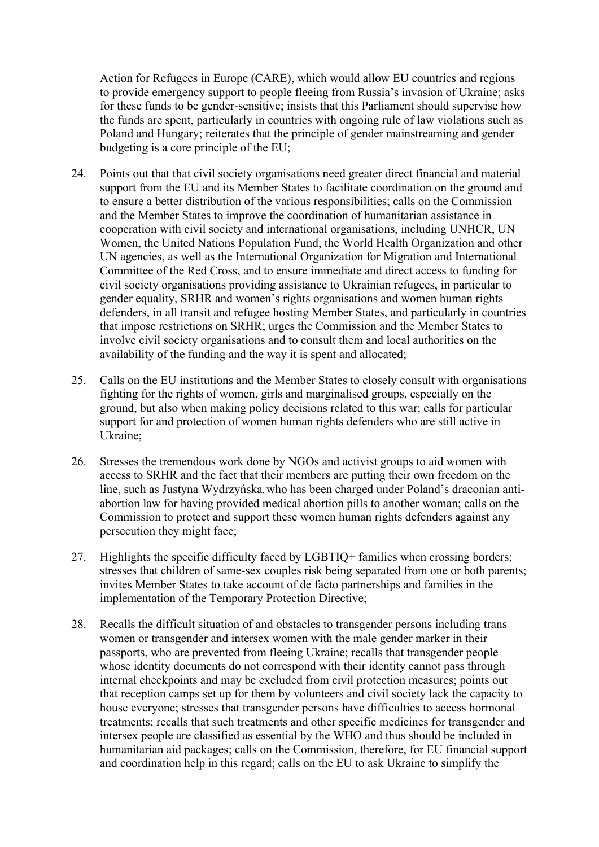Action for Refugees in Europe (CARE), which would allow EU countries and regions to provide emergency support to people fleeing from Russia's invasion of Ukraine; asks for these funds to be gender-sensitive; insists that this Parliament should supervise how the funds are spent, particularly in countries with ongoing rule of law violations such as Poland and Hungary; reiterates that the principle of gender mainstreaming and gender budgeting is a core principle of the EU;

- 24. Points out that that civil society organisations need greater direct financial and material support from the EU and its Member States to facilitate coordination on the ground and to ensure a better distribution of the various responsibilities; calls on the Commission and the Member States to improve the coordination of humanitarian assistance in cooperation with civil society and international organisations, including UNHCR, UN Women, the United Nations Population Fund, the World Health Organization and other UN agencies, as well as the International Organization for Migration and International Committee of the Red Cross, and to ensure immediate and direct access to funding for civil society organisations providing assistance to Ukrainian refugees, in particular to gender equality, SRHR and women's rights organisations and women human rights defenders, in all transit and refugee hosting Member States, and particularly in countries that impose restrictions on SRHR; urges the Commission and the Member States to involve civil society organisations and to consult them and local authorities on the availability of the funding and the way it is spent and allocated;
- 25. Calls on the EU institutions and the Member States to closely consult with organisations fighting for the rights of women, girls and marginalised groups, especially on the ground, but also when making policy decisions related to this war; calls for particular support for and protection of women human rights defenders who are still active in Ukraine;
- 26. Stresses the tremendous work done by NGOs and activist groups to aid women with access to SRHR and the fact that their members are putting their own freedom on the line, such as Justyna Wydrzyńska, who has been charged under Poland's draconian antiabortion law for having provided medical abortion pills to another woman; calls on the Commission to protect and support these women human rights defenders against any persecution they might face;
- 27. Highlights the specific difficulty faced by LGBTIQ+ families when crossing borders; stresses that children of same-sex couples risk being separated from one or both parents; invites Member States to take account of de facto partnerships and families in the implementation of the Temporary Protection Directive;
- 28. Recalls the difficult situation of and obstacles to transgender persons including trans women or transgender and intersex women with the male gender marker in their passports, who are prevented from fleeing Ukraine; recalls that transgender people whose identity documents do not correspond with their identity cannot pass through internal checkpoints and may be excluded from civil protection measures; points out that reception camps set up for them by volunteers and civil society lack the capacity to house everyone; stresses that transgender persons have difficulties to access hormonal treatments; recalls that such treatments and other specific medicines for transgender and intersex people are classified as essential by the WHO and thus should be included in humanitarian aid packages; calls on the Commission, therefore, for EU financial support and coordination help in this regard; calls on the EU to ask Ukraine to simplify the